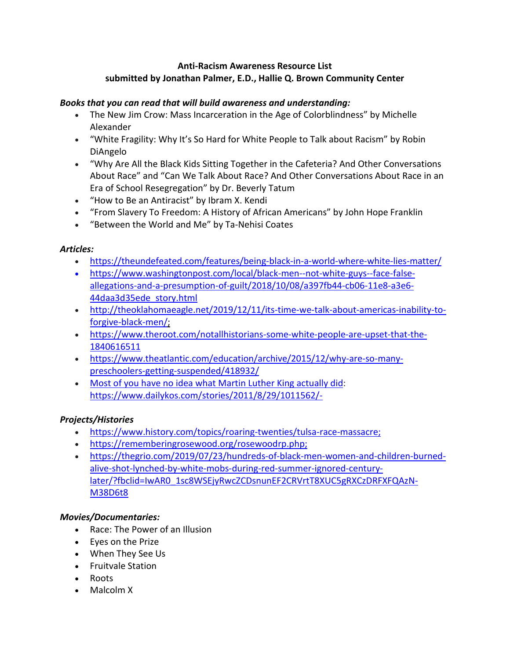### **Anti-Racism Awareness Resource List submitted by Jonathan Palmer, E.D., Hallie Q. Brown Community Center**

#### *Books that you can read that will build awareness and understanding:*

- The New Jim Crow: Mass Incarceration in the Age of Colorblindness" by Michelle Alexander
- "White Fragility: Why It's So Hard for White People to Talk about Racism" by Robin DiAngelo
- "Why Are All the Black Kids Sitting Together in the Cafeteria? And Other Conversations About Race" and "Can We Talk About Race? And Other Conversations About Race in an Era of School Resegregation" by Dr. Beverly Tatum
- "How to Be an Antiracist" by Ibram X. Kendi
- "From Slavery To Freedom: A History of African Americans" by John Hope Franklin
- "Between the World and Me" by Ta-Nehisi Coates

#### *Articles:*

- [https://theundefeated.com/features/being-black-in-a-world-where-white-lies-matter/](https://linkprotect.cudasvc.com/url?a=https%3a%2f%2ftheundefeated.com%2ffeatures%2fbeing-black-in-a-world-where-white-lies-matter%2f&c=E,1,5Ky8_1ZRXsnrS-2r01_DZQTG09ZrkIx7AeBBJE5Ln9OIRnxk0HWu3UAn4RaRE5WKRnvfn8oSaO37fsJF613DtSXnb3klQ9EgIUJnJMT3BQ,,&typo=1)
- [https://www.washingtonpost.com/local/black-men--not-white-guys--face-false](https://www.washingtonpost.com/local/black-men--not-white-guys--face-false-allegations-and-a-presumption-of-guilt/2018/10/08/a397fb44-cb06-11e8-a3e6-44daa3d35ede_story.html;)[allegations-and-a-presumption-of-guilt/2018/10/08/a397fb44-cb06-11e8-a3e6-](https://www.washingtonpost.com/local/black-men--not-white-guys--face-false-allegations-and-a-presumption-of-guilt/2018/10/08/a397fb44-cb06-11e8-a3e6-44daa3d35ede_story.html;) [44daa3d35ede\\_story.html](https://www.washingtonpost.com/local/black-men--not-white-guys--face-false-allegations-and-a-presumption-of-guilt/2018/10/08/a397fb44-cb06-11e8-a3e6-44daa3d35ede_story.html;)
- [http://theoklahomaeagle.net/2019/12/11/its-time-we-talk-about-americas-inability-to](https://linkprotect.cudasvc.com/url?a=http%3a%2f%2ftheoklahomaeagle.net%2f2019%2f12%2f11%2fits-time-we-talk-about-americas-inability-to-forgive-black-men%2f%3b&c=E,1,CcI17D0GtOqKKu3HMvdCJNR-rBAblu98SBTmBIJdNLTjV94RvLF4br-VGMk68dy3sh63DqGMeSt2dc7jTnqj8h7U2uCQPBrmCYtKh_0487gGdA,,&typo=1)[forgive-black-men/;](https://linkprotect.cudasvc.com/url?a=http%3a%2f%2ftheoklahomaeagle.net%2f2019%2f12%2f11%2fits-time-we-talk-about-americas-inability-to-forgive-black-men%2f%3b&c=E,1,CcI17D0GtOqKKu3HMvdCJNR-rBAblu98SBTmBIJdNLTjV94RvLF4br-VGMk68dy3sh63DqGMeSt2dc7jTnqj8h7U2uCQPBrmCYtKh_0487gGdA,,&typo=1)
- [https://www.theroot.com/notallhistorians-some-white-people-are-upset-that-the-](https://linkprotect.cudasvc.com/url?a=https%3a%2f%2fwww.theroot.com%2fnotallhistorians-some-white-people-are-upset-that-the-1840616511%3b&c=E,1,AYrmw9mdJQwDMUtj-kHd5r31dmG0VfFIr3I-SEWn6VBgKfy8RLS8hbvd1uWpGKQxXUAolZOPPmSAUI9tPiz4z4Wx6t0qEiRCJpvVmd3bqRN-jsg1w70,&typo=1)[1840616511](https://linkprotect.cudasvc.com/url?a=https%3a%2f%2fwww.theroot.com%2fnotallhistorians-some-white-people-are-upset-that-the-1840616511%3b&c=E,1,AYrmw9mdJQwDMUtj-kHd5r31dmG0VfFIr3I-SEWn6VBgKfy8RLS8hbvd1uWpGKQxXUAolZOPPmSAUI9tPiz4z4Wx6t0qEiRCJpvVmd3bqRN-jsg1w70,&typo=1)
- [https://www.theatlantic.com/education/archive/2015/12/why-are-so-many](https://www.theatlantic.com/education/archive/2015/12/why-are-so-many-preschoolers-getting-suspended/418932/)[preschoolers-getting-suspended/418932/](https://www.theatlantic.com/education/archive/2015/12/why-are-so-many-preschoolers-getting-suspended/418932/)
- Most of you have no idea what Martin Luther King [actually](https://www.dailykos.com/stories/2011/8/29/1011562/-) did: https://www.dailykos.com/stories/2011/8/29/1011562/-

### *Projects/Histories*

- <https://www.history.com/topics/roaring-twenties/tulsa-race-massacre;>
- [https://rememberingrosewood.org/rosewoodrp.php;](https://linkprotect.cudasvc.com/url?a=https%3a%2f%2frememberingrosewood.org%2frosewoodrp.php%3b&c=E,1,r6MkricQK-_CytnC3K1CrdBMPvMtChoLsecliFXw4i9Z_3Q7yXAhFCRmMkQklW08AgTSAC-h0LnEajE-fPHpNBPWFztQVIw6t5MyGZttLZssSl3F_Fo5lDvZ&typo=1)
- [https://thegrio.com/2019/07/23/hundreds-of-black-men-women-and-children-burned](https://linkprotect.cudasvc.com/url?a=https%3a%2f%2fthegrio.com%2f2019%2f07%2f23%2fhundreds-of-black-men-women-and-children-burned-alive-shot-lynched-by-white-mobs-during-red-summer-ignored-century-later%2f%3ffbclid%3dIwAR0_1sc8WSEjyRwcZCDsnunEF2CRVrtT8XUC5gRXCzDRFXFQAzN-M38D6t8&c=E,1,yCtrjLJFaeKKyOH53rkajBqZmi-uvCeWyNyZR38gVNjyBCxHx4gv6u4Fa5roAzrb4ebL1nqKW7YG_XA2khTjjWEooGhpCCTBzasNOjHUUyhtaeGsy3DPmmMmA7fh&typo=1)[alive-shot-lynched-by-white-mobs-during-red-summer-ignored-century](https://linkprotect.cudasvc.com/url?a=https%3a%2f%2fthegrio.com%2f2019%2f07%2f23%2fhundreds-of-black-men-women-and-children-burned-alive-shot-lynched-by-white-mobs-during-red-summer-ignored-century-later%2f%3ffbclid%3dIwAR0_1sc8WSEjyRwcZCDsnunEF2CRVrtT8XUC5gRXCzDRFXFQAzN-M38D6t8&c=E,1,yCtrjLJFaeKKyOH53rkajBqZmi-uvCeWyNyZR38gVNjyBCxHx4gv6u4Fa5roAzrb4ebL1nqKW7YG_XA2khTjjWEooGhpCCTBzasNOjHUUyhtaeGsy3DPmmMmA7fh&typo=1)[later/?fbclid=IwAR0\\_1sc8WSEjyRwcZCDsnunEF2CRVrtT8XUC5gRXCzDRFXFQAzN-](https://linkprotect.cudasvc.com/url?a=https%3a%2f%2fthegrio.com%2f2019%2f07%2f23%2fhundreds-of-black-men-women-and-children-burned-alive-shot-lynched-by-white-mobs-during-red-summer-ignored-century-later%2f%3ffbclid%3dIwAR0_1sc8WSEjyRwcZCDsnunEF2CRVrtT8XUC5gRXCzDRFXFQAzN-M38D6t8&c=E,1,yCtrjLJFaeKKyOH53rkajBqZmi-uvCeWyNyZR38gVNjyBCxHx4gv6u4Fa5roAzrb4ebL1nqKW7YG_XA2khTjjWEooGhpCCTBzasNOjHUUyhtaeGsy3DPmmMmA7fh&typo=1)[M38D6t8](https://linkprotect.cudasvc.com/url?a=https%3a%2f%2fthegrio.com%2f2019%2f07%2f23%2fhundreds-of-black-men-women-and-children-burned-alive-shot-lynched-by-white-mobs-during-red-summer-ignored-century-later%2f%3ffbclid%3dIwAR0_1sc8WSEjyRwcZCDsnunEF2CRVrtT8XUC5gRXCzDRFXFQAzN-M38D6t8&c=E,1,yCtrjLJFaeKKyOH53rkajBqZmi-uvCeWyNyZR38gVNjyBCxHx4gv6u4Fa5roAzrb4ebL1nqKW7YG_XA2khTjjWEooGhpCCTBzasNOjHUUyhtaeGsy3DPmmMmA7fh&typo=1)

### *Movies/Documentaries:*

- Race: The Power of an Illusion
- Eyes on the Prize
- When They See Us
- Fruitvale Station
- Roots
- Malcolm X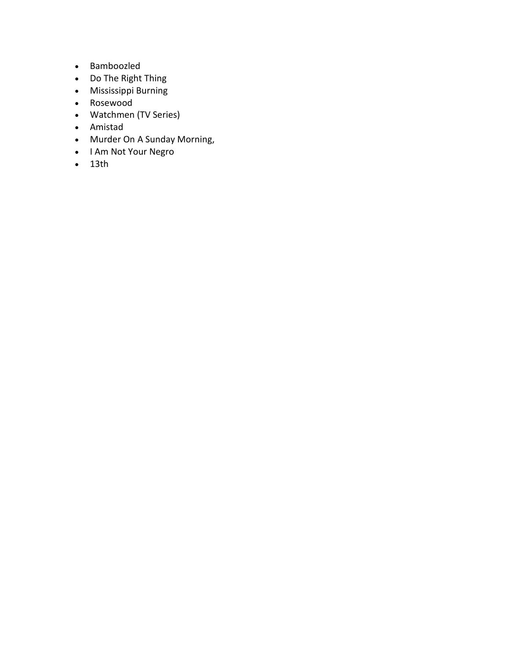- Bamboozled
- Do The Right Thing
- Mississippi Burning
- Rosewood
- Watchmen (TV Series)
- Amistad
- Murder On A Sunday Morning,
- I Am Not Your Negro
- 13th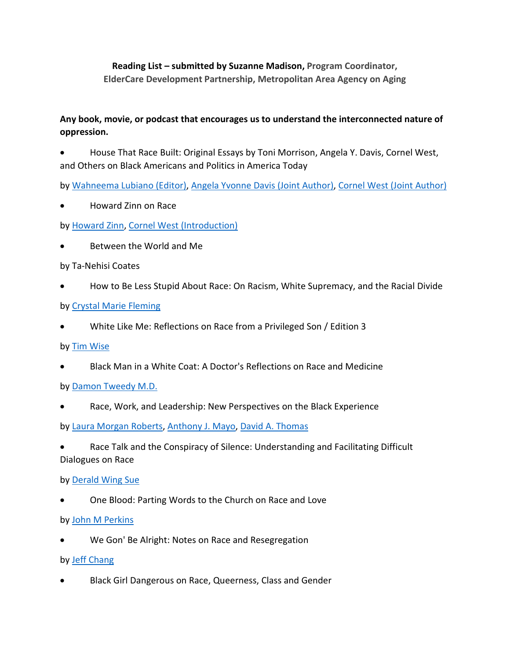**Reading List – submitted by Suzanne Madison, Program Coordinator, ElderCare Development Partnership, Metropolitan Area Agency on Aging**

# **Any book, movie, or podcast that encourages us to understand the interconnected nature of oppression.**

• House That Race Built: Original Essays by Toni Morrison, Angela Y. Davis, Cornel West, and Others on Black Americans and Politics in America Today

by [Wahneema Lubiano \(Editor\),](https://www.barnesandnoble.com/s/%22Wahneema%20Lubiano%22?Ntk=P_key_Contributor_List&Ns=P_Sales_Rank&Ntx=mode+matchall) [Angela Yvonne Davis \(Joint Author\),](https://www.barnesandnoble.com/s/%22Angela%20Yvonne%20Davis%22?Ntk=P_key_Contributor_List&Ns=P_Sales_Rank&Ntx=mode+matchall) [Cornel West \(Joint Author\)](https://www.barnesandnoble.com/s/%22Cornel%20West%22?Ntk=P_key_Contributor_List&Ns=P_Sales_Rank&Ntx=mode+matchall)

• Howard Zinn on Race

by [Howard Zinn,](https://www.barnesandnoble.com/s/%22Howard%20Zinn%22?Ntk=P_key_Contributor_List&Ns=P_Sales_Rank&Ntx=mode+matchall) [Cornel West \(Introduction\)](https://www.barnesandnoble.com/s/%22Cornel%20West%22?Ntk=P_key_Contributor_List&Ns=P_Sales_Rank&Ntx=mode+matchall)

• Between the World and Me

by Ta-Nehisi Coates

• How to Be Less Stupid About Race: On Racism, White Supremacy, and the Racial Divide

by [Crystal Marie Fleming](https://www.barnesandnoble.com/s/%22Crystal%20Marie%20Fleming%22?Ntk=P_key_Contributor_List&Ns=P_Sales_Rank&Ntx=mode+matchall)

• White Like Me: Reflections on Race from a Privileged Son / Edition 3

by [Tim Wise](https://www.barnesandnoble.com/s/%22Tim%20Wise%22?Ntk=P_key_Contributor_List&Ns=P_Sales_Rank&Ntx=mode+matchall)

• Black Man in a White Coat: A Doctor's Reflections on Race and Medicine

by [Damon Tweedy M.D.](https://www.barnesandnoble.com/s/%22Damon%20Tweedy%20M.D.%22?Ntk=P_key_Contributor_List&Ns=P_Sales_Rank&Ntx=mode+matchall)

Race, Work, and Leadership: New Perspectives on the Black Experience

by [Laura Morgan Roberts,](https://www.barnesandnoble.com/s/%22Laura%20Morgan%20Roberts%22?Ntk=P_key_Contributor_List&Ns=P_Sales_Rank&Ntx=mode+matchall) [Anthony J. Mayo,](https://www.barnesandnoble.com/s/%22Anthony%20J.%20Mayo%22?Ntk=P_key_Contributor_List&Ns=P_Sales_Rank&Ntx=mode+matchall) [David A. Thomas](https://www.barnesandnoble.com/s/%22David%20A.%20Thomas%22?Ntk=P_key_Contributor_List&Ns=P_Sales_Rank&Ntx=mode+matchall)

Race Talk and the Conspiracy of Silence: Understanding and Facilitating Difficult Dialogues on Race

by [Derald Wing Sue](https://www.barnesandnoble.com/s/%22Derald%20Wing%20Sue%22?Ntk=P_key_Contributor_List&Ns=P_Sales_Rank&Ntx=mode+matchall)

• One Blood: Parting Words to the Church on Race and Love

by [John M Perkins](https://www.barnesandnoble.com/s/%22John%20M%20Perkins%22?Ntk=P_key_Contributor_List&Ns=P_Sales_Rank&Ntx=mode+matchall)

• We Gon' Be Alright: Notes on Race and Resegregation

by [Jeff Chang](https://www.barnesandnoble.com/s/%22Jeff%20Chang%22?Ntk=P_key_Contributor_List&Ns=P_Sales_Rank&Ntx=mode+matchall)

• Black Girl Dangerous on Race, Queerness, Class and Gender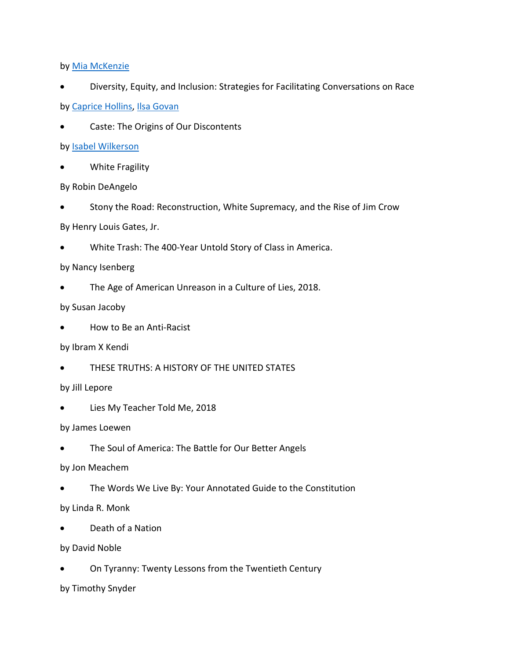by [Mia McKenzie](https://www.barnesandnoble.com/s/%22Mia%20McKenzie%22?Ntk=P_key_Contributor_List&Ns=P_Sales_Rank&Ntx=mode+matchall)

- Diversity, Equity, and Inclusion: Strategies for Facilitating Conversations on Race by [Caprice Hollins,](https://www.barnesandnoble.com/s/%22Caprice%20Hollins%22?Ntk=P_key_Contributor_List&Ns=P_Sales_Rank&Ntx=mode+matchall) [Ilsa Govan](https://www.barnesandnoble.com/s/%22Ilsa%20Govan%22?Ntk=P_key_Contributor_List&Ns=P_Sales_Rank&Ntx=mode+matchall)
- Caste: The Origins of Our Discontents

by [Isabel Wilkerson](https://www.barnesandnoble.com/s/%22Isabel%20%20Wilkerson%22?Ntk=P_key_Contributor_List&Ns=P_Sales_Rank&Ntx=mode+matchall)

- White Fragility
- By Robin DeAngelo
- Stony the Road: Reconstruction, White Supremacy, and the Rise of Jim Crow

By Henry Louis Gates, Jr.

• White Trash: The 400-Year Untold Story of Class in America.

### by Nancy Isenberg

• The Age of American Unreason in a Culture of Lies, 2018.

### by Susan Jacoby

• How to Be an Anti-Racist

### by Ibram X Kendi

THESE TRUTHS: A HISTORY OF THE UNITED STATES

### by Jill Lepore

Lies My Teacher Told Me, 2018

### by James Loewen

The Soul of America: The Battle for Our Better Angels

### by Jon Meachem

The Words We Live By: Your Annotated Guide to the Constitution

### by Linda R. Monk

• Death of a Nation

### by David Noble

• On Tyranny: Twenty Lessons from the Twentieth Century

## by Timothy Snyder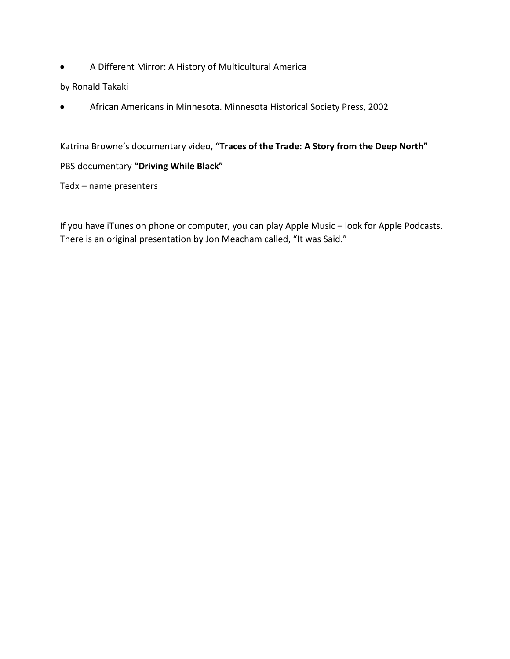• A Different Mirror: A History of Multicultural America

by Ronald Takaki

• African Americans in Minnesota. Minnesota Historical Society Press, 2002

Katrina Browne's documentary video, **"Traces of the Trade: A Story from the Deep North"**

### PBS documentary **"Driving While Black"**

Tedx – name presenters

If you have iTunes on phone or computer, you can play Apple Music – look for Apple Podcasts. There is an original presentation by Jon Meacham called, "It was Said."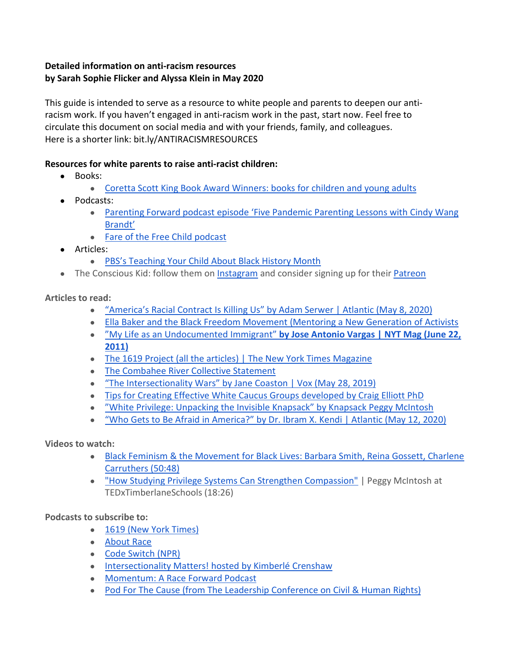## **Detailed information on anti-racism resources by Sarah Sophie Flicker and Alyssa Klein in May 2020**

This guide is intended to serve as a resource to white people and parents to deepen our antiracism work. If you haven't engaged in anti-racism work in the past, start now. Feel free to circulate this document on social media and with your friends, family, and colleagues. Here is a shorter link: bit.ly/ANTIRACISMRESOURCES

## **Resources for white parents to raise anti-racist children:**

- Books:
	- [Coretta Scott King Book Award Winners: books for children and young adults](https://www.commonsensemedia.org/lists/coretta-scott-king-book-award-winners)
- Podcasts:
	- [Parenting Forward podcast episode 'Five Pandemic Parenting Lessons with Cindy Wang](https://podcasts.apple.com/us/podcast/parenting-forward/id1403686245?i=1000474951309)  [Brandt'](https://podcasts.apple.com/us/podcast/parenting-forward/id1403686245?i=1000474951309)
	- [Fare of the Free Child podcast](https://www.raisingfreepeople.com/podcast/)
- Articles:
	- [PBS's Teaching Your Child About Black History Month](https://www.pbs.org/parents/thrive/teaching-your-child-about-black-history-month)
- The Conscious Kid: follow them o[n Instagram](https://www.instagram.com/theconsciouskid/) and consider signing up for thei[r Patreon](https://www.patreon.com/theconsciouskid)

**Articles to read:**

- ["America's Racial Contract Is Killing Us" by Adam Serwer | Atlantic \(May 8, 2020\)](https://www.theatlantic.com/ideas/archive/2020/05/americas-racial-contract-showing/611389/)
- [Ella Baker and the Black Freedom Movement \(Mentoring a New Generation of Activists](https://drive.google.com/a/glaze0101.com/file/d/0By2bSlBi5slDbXB2enJ0RzN6c3M/view?usp=sharing)
- ["My Life as an Undocumented Immigrant"](https://www.nytimes.com/2011/06/26/magazine/my-life-as-an-undocumented-immigrant.html) **[by Jose Antonio Vargas | NYT Mag \(June 22,](https://www.nytimes.com/2011/06/26/magazine/my-life-as-an-undocumented-immigrant.html)  [2011\)](https://www.nytimes.com/2011/06/26/magazine/my-life-as-an-undocumented-immigrant.html)**
- [The 1619 Project \(all the articles\) | The New York Times Magazine](https://www.nytimes.com/interactive/2019/08/14/magazine/1619-america-slavery.html)
- [The Combahee River Collective Statement](http://circuitous.org/scraps/combahee.html)
- ["The Intersectionality Wars" by Jane Coaston | Vox \(May 28, 2019\)](https://www.vox.com/the-highlight/2019/5/20/18542843/intersectionality-conservatism-law-race-gender-discrimination)
- [Tips for Creating Effective White Caucus Groups developed by Craig Elliott PhD](http://convention.myacpa.org/houston2018/wp-content/uploads/2017/11/Guidelines-for-Effective-White-Caucuses.pdf)
- ["White Privilege: Unpacking the Invisible Knapsack" by Knapsack Peggy McIntosh](http://convention.myacpa.org/houston2018/wp-content/uploads/2017/11/UnpackingTheKnapsack.pdf)
- ["Who Gets to Be Afraid in America?" by Dr. Ibram X. Kendi | Atlantic \(May 12, 2020\)](https://www.theatlantic.com/ideas/archive/2020/05/ahmaud-arbery/611539/)

**Videos to watch:**

- [Black Feminism & the Movement for Black Lives: Barbara Smith, Reina Gossett, Charlene](https://youtu.be/eV3nnFheQRo)  [Carruthers \(50:48\)](https://youtu.be/eV3nnFheQRo)
- ["How Studying Privilege Systems Can Strengthen Compassion"](https://youtu.be/e-BY9UEewHw) | Peggy McIntosh at TEDxTimberlaneSchools (18:26)

**Podcasts to subscribe to:**

- [1619 \(New York Times\)](https://www.nytimes.com/2020/01/23/podcasts/1619-podcast.html)
- [About Race](https://www.showaboutrace.com/)
- [Code Switch \(NPR\)](https://www.npr.org/sections/codeswitch/)
- [Intersectionality Matters! hosted by Kimberlé Crenshaw](https://podcasts.apple.com/us/podcast/intersectionality-matters/id1441348908)
- [Momentum: A Race Forward Podcast](https://www.raceforward.org/media/podcast/momentum-race-forward-podcast)
- [Pod For The Cause \(from The Leadership Conference on Civil & Human Rights\)](https://civilrights.org/podforthecause/)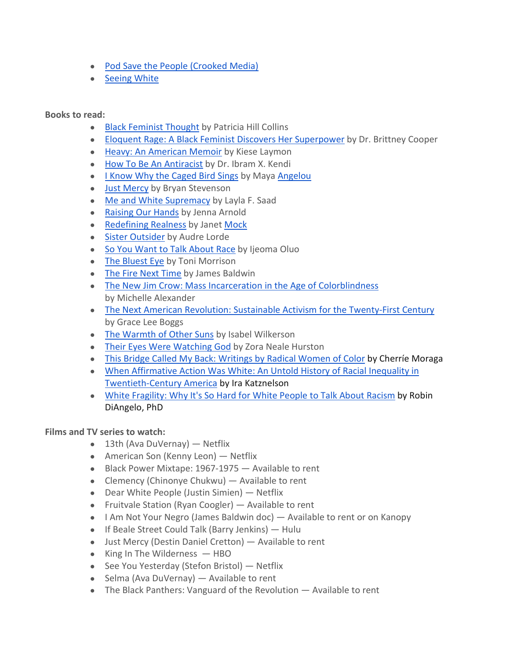- [Pod Save the People \(Crooked Media\)](https://crooked.com/podcast-series/pod-save-the-people/)
- [Seeing White](https://www.sceneonradio.org/seeing-white/)

**Books to read:**

- [Black Feminist Thought](https://books.google.com/books/about/Black_Feminist_Thought.html?id=cdtYsU3zR14C) by Patricia Hill Collins
- [Eloquent Rage: A Black Feminist Discovers Her Superpower](https://read.macmillan.com/lp/eloquent-rage/) by Dr. Brittney Cooper
- [Heavy: An American Memoir](https://www.kieselaymon.com/heavy) by Kiese Laymon
- [How To Be An Antiracist](https://www.ibramxkendi.com/how-to-be-an-antiracist-1) by Dr. Ibram X. Kendi
- [I Know Why the Caged Bird Sings](https://www.penguinrandomhouse.com/books/3924/i-know-why-the-caged-bird-sings-by-maya-angelou/) by Maya [Angelou](https://chipublib.bibliocommons.com/search?q=%22Angelou%2C+Maya%22&search_category=author&t=author)
- [Just Mercy](https://justmercy.eji.org/) by Bryan Stevenson
- [Me and White Supremacy](http://laylafsaad.com/meandwhitesupremacy) by Layla F. Saad
- [Raising Our Hands](https://www.jennaarnold.com/book) by Jenna Arnold
- [Redefining Realness](https://www.simonandschuster.com/books/Redefining-Realness/Janet-Mock/9781476709130) by Janet [Mock](https://chipublib.bibliocommons.com/search?q=%22Mock%2C+Janet%22&search_category=author&t=author)
- [Sister Outsider](https://www.penguinrandomhouse.com/books/198292/sister-outsider-by-audre-lorde/) by Audre Lorde
- [So You Want to Talk About Race](https://www.sealpress.com/titles/ijeoma-oluo/so-you-want-to-talk-about-race/9781580056779/) by Ijeoma Oluo
- [The Bluest Eye](https://www.penguinrandomhouse.com/books/117662/the-bluest-eye-by-toni-morrison/) by Toni Morrison
- [The Fire Next Time](https://www.penguinrandomhouse.com/books/7753/the-fire-next-time-by-james-baldwin/9780679744726/teachers-guide/) by James Baldwin
- The New Jim [Crow: Mass Incarceration in the Age of Colorblindness](https://newjimcrow.com/) by Michelle Alexander
- [The Next American Revolution: Sustainable Activism for the Twenty-First Century](https://www.ucpress.edu/book/9780520272590/the-next-american-revolution) by Grace Lee Boggs
- [The Warmth of Other Suns](https://www.penguinrandomhouse.com/books/190696/the-warmth-of-other-suns-by-isabel-wilkerson/) by Isabel Wilkerson
- [Their Eyes Were Watching God](https://www.zoranealehurston.com/books/their-eyes-were-watching-god/) by Zora Neale Hurston
- [This Bridge Called My Back: Writings by Radical Women of Color](http://v/) by Cherríe Moraga
- [When Affirmative Action Was White: An Untold History of Racial Inequality in](https://books.google.com/books/about/When_Affirmative_Action_was_White.html?id=cfhneJPcD38C)  [Twentieth-Century America](https://books.google.com/books/about/When_Affirmative_Action_was_White.html?id=cfhneJPcD38C) by Ira Katznelson
- [White Fragility: Why It's So Hard for White People to Talk About Racism](https://robindiangelo.com/publications/) by Robin DiAngelo, PhD

**Films and TV series to watch:**

- $\bullet$  13th (Ava DuVernay) Netflix
- American Son (Kenny Leon) Netflix
- Black Power Mixtape: 1967-1975 Available to rent
- Clemency (Chinonye Chukwu) Available to rent
- Dear White People (Justin Simien) Netflix
- Fruitvale Station (Ryan Coogler) Available to rent
- I Am Not Your Negro (James Baldwin doc) Available to rent or on Kanopy
- If Beale Street Could Talk (Barry Jenkins) Hulu
- Just Mercy (Destin Daniel Cretton) Available to rent
- $\bullet$  King In The Wilderness  $-$  HBO
- See You Yesterday (Stefon Bristol) Netflix
- Selma (Ava DuVernay) Available to rent
- $\bullet$  The Black Panthers: Vanguard of the Revolution  $-$  Available to rent